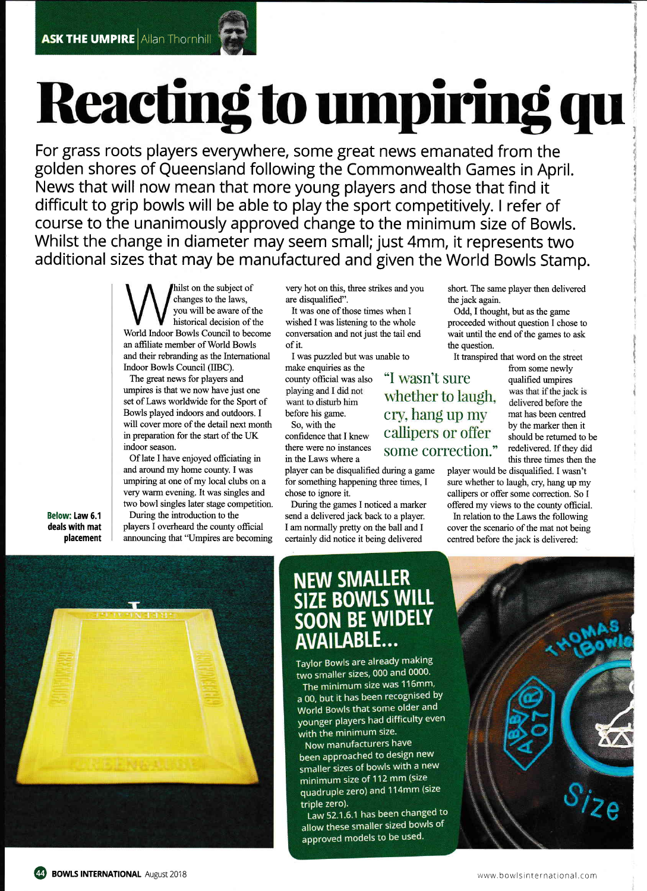## Reacting to umpiring qu

For grass roots players everywhere, some great news emanated from the golden shores of Queensland following the Commonwealth Games in April. News that will now mean that more young players and those that find it difficult to grip bowls will be able to play the sport competitively. I refer of course to the unanimously approved change to the minimum size of Bowls. Whilst the change in diameter may seem small; just 4mm, it represents two additional sizes that may be manufactured and given the World Bowls Stamp.

> 'hilst on the subject of changes to the laws, you will be aware of the historical decision of the World lndoor Bowls Council to become an affiliate member of World Bowls and their rebranding as the Intemational lndoor Bowls Council (IIBC).

The great news for players and umpires is that we now have just one set of Laws worldwide for the Sport of Bowls played indoors and outdoors. I will cover more of the detail next month in preparation for the start of the UK indoor season.

Of late I have enjoyed officiating in and around my home county. I was umpiring at one of my local clubs on a very warm evening. It was singles and two bowl singles later stage competition.

During the introduction to the players I overheard the county official announcing that "Umpires are becoming are disqualified". the jack again.

It was one of those times when I Odd, I thought, but as the game of it. the question.

make enquiries as the from some newly<br>
county official was also "I Wasn't sure qualified umpires

send a delivered jack back to a player. In relation to the Laws the following certainly did notice it being delivered centred before the jack is delivered:

very hot on this, three strikes and you short. The same player then delivered

wished I was listening to the whole proceeded without question I chose to conversation and not just the tail end wait until the end of the games to ask wait until the end of the games to ask

I was puzzled but was unable to It transpired that word on the street

county official was also " $\frac{1}{2}$  Wasn't Sure qualified umpires<br>playing and I did not whether to laugh. want to disturb him<br>before his game. Cry, hang up my mat has been centred<br>So, with the  $\frac{1}{100}$  must have been centred<br>by the marker then it So, with the confidence that I knew Callipers  $\overline{or}$  offer by the marker then it should be returned to be there were no instances SOME COTTECTION." redelivered. If they did<br>in the Laws where a bound this three times then the<br>player can be disqualified during a game player would be disqualified. I wasn't

was that if the jack is this three times then the

player would be disqualified. I wasn't for something happening three times, I sure whether to laugh, cry, hang up my chose to ignore it. callipers or offer some correction. So I During the games I noticed a marker offered my views to the county official.

I am normally pretty on the ball and I cover the scenario of the mat not being



Below: law 6.1 deals with mat placement

## NEW SMALLER **E BOWLS WILL** SOON BE WIDELY ABLE...

Taylor Bowls are already making two smaller sizes, 000 and 0000.

The minimum size was 116mm, a 00, but it has been recognised by World Bowls that some older and younger players had difficulty even with the minimum size.

Now manufacturers have been approached to design new smaller sizes of bowls with a new minimum size of 112 mm (size quadruple zero) and 114mm (size triple zero).

Law 52.1.6.1 has been changed to allow these smaller sized bowls of approved models to be used.